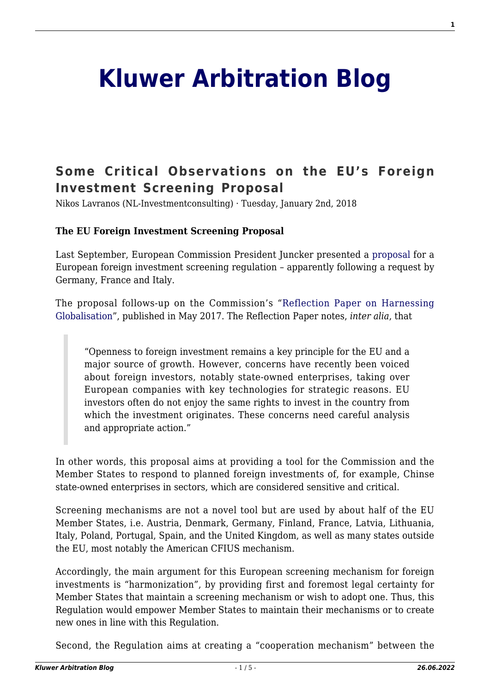## **[Kluwer Arbitration Blog](http://arbitrationblog.kluwerarbitration.com/)**

## **[Some Critical Observations on the EU's Foreign](http://arbitrationblog.kluwerarbitration.com/2018/01/02/critical-observations-eus-foreign-investment-screening-proposal/) [Investment Screening Proposal](http://arbitrationblog.kluwerarbitration.com/2018/01/02/critical-observations-eus-foreign-investment-screening-proposal/)**

Nikos Lavranos (NL-Investmentconsulting) · Tuesday, January 2nd, 2018

## **The EU Foreign Investment Screening Proposal**

Last September, European Commission President Juncker presented a [proposal](https://ec.europa.eu/transparency/regdoc/rep/1/2017/EN/COM-2017-487-F1-EN-MAIN-PART-1.PDF) for a European foreign investment screening regulation – apparently following a request by Germany, France and Italy.

The proposal follows-up on the Commission's "[Reflection Paper on Harnessing](https://ec.europa.eu/commission/sites/beta-political/files/reflection-paper-globalisation_en.pdf) [Globalisation"](https://ec.europa.eu/commission/sites/beta-political/files/reflection-paper-globalisation_en.pdf), published in May 2017. The Reflection Paper notes, *inter alia*, that

"Openness to foreign investment remains a key principle for the EU and a major source of growth. However, concerns have recently been voiced about foreign investors, notably state-owned enterprises, taking over European companies with key technologies for strategic reasons. EU investors often do not enjoy the same rights to invest in the country from which the investment originates. These concerns need careful analysis and appropriate action."

In other words, this proposal aims at providing a tool for the Commission and the Member States to respond to planned foreign investments of, for example, Chinse state-owned enterprises in sectors, which are considered sensitive and critical.

Screening mechanisms are not a novel tool but are used by about half of the EU Member States, i.e. Austria, Denmark, Germany, Finland, France, Latvia, Lithuania, Italy, Poland, Portugal, Spain, and the United Kingdom, as well as many states outside the EU, most notably the American CFIUS mechanism.

Accordingly, the main argument for this European screening mechanism for foreign investments is "harmonization", by providing first and foremost legal certainty for Member States that maintain a screening mechanism or wish to adopt one. Thus, this Regulation would empower Member States to maintain their mechanisms or to create new ones in line with this Regulation.

Second, the Regulation aims at creating a "cooperation mechanism" between the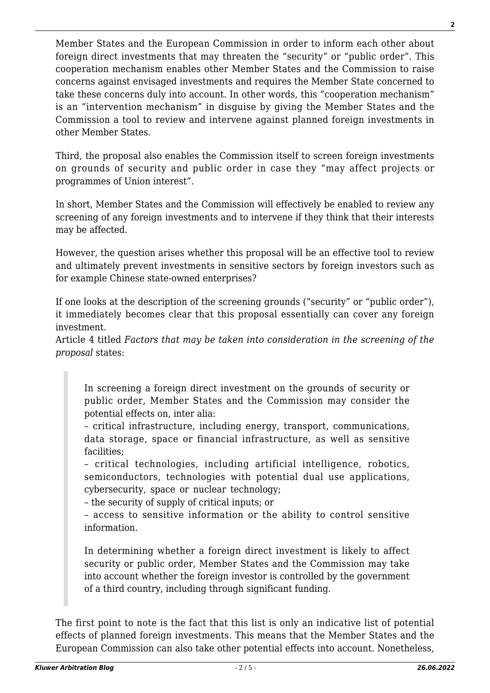Member States and the European Commission in order to inform each other about foreign direct investments that may threaten the "security" or "public order". This cooperation mechanism enables other Member States and the Commission to raise concerns against envisaged investments and requires the Member State concerned to take these concerns duly into account. In other words, this "cooperation mechanism" is an "intervention mechanism" in disguise by giving the Member States and the Commission a tool to review and intervene against planned foreign investments in other Member States.

Third, the proposal also enables the Commission itself to screen foreign investments on grounds of security and public order in case they "may affect projects or programmes of Union interest".

In short, Member States and the Commission will effectively be enabled to review any screening of any foreign investments and to intervene if they think that their interests may be affected.

However, the question arises whether this proposal will be an effective tool to review and ultimately prevent investments in sensitive sectors by foreign investors such as for example Chinese state-owned enterprises?

If one looks at the description of the screening grounds ("security" or "public order"). it immediately becomes clear that this proposal essentially can cover any foreign investment.

Article 4 titled *Factors that may be taken into consideration in the screening of the proposal* states:

In screening a foreign direct investment on the grounds of security or public order, Member States and the Commission may consider the potential effects on, inter alia:

– critical infrastructure, including energy, transport, communications, data storage, space or financial infrastructure, as well as sensitive facilities;

– critical technologies, including artificial intelligence, robotics, semiconductors, technologies with potential dual use applications, cybersecurity, space or nuclear technology;

– the security of supply of critical inputs; or

– access to sensitive information or the ability to control sensitive information.

In determining whether a foreign direct investment is likely to affect security or public order, Member States and the Commission may take into account whether the foreign investor is controlled by the government of a third country, including through significant funding.

The first point to note is the fact that this list is only an indicative list of potential effects of planned foreign investments. This means that the Member States and the European Commission can also take other potential effects into account. Nonetheless,

**2**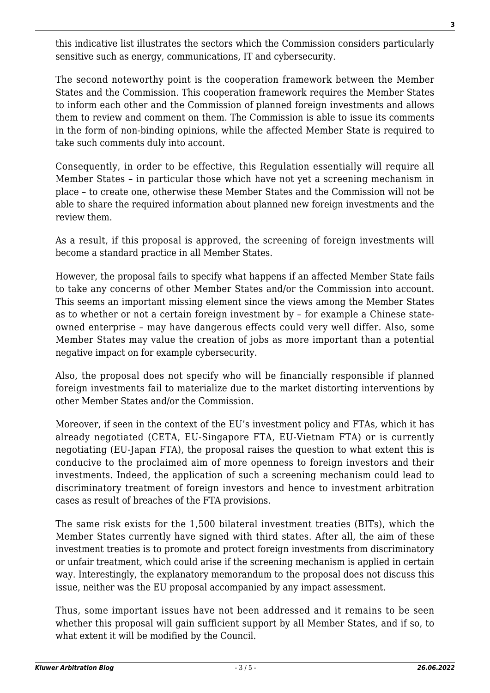this indicative list illustrates the sectors which the Commission considers particularly sensitive such as energy, communications, IT and cybersecurity.

The second noteworthy point is the cooperation framework between the Member States and the Commission. This cooperation framework requires the Member States to inform each other and the Commission of planned foreign investments and allows them to review and comment on them. The Commission is able to issue its comments in the form of non-binding opinions, while the affected Member State is required to take such comments duly into account.

Consequently, in order to be effective, this Regulation essentially will require all Member States – in particular those which have not yet a screening mechanism in place – to create one, otherwise these Member States and the Commission will not be able to share the required information about planned new foreign investments and the review them.

As a result, if this proposal is approved, the screening of foreign investments will become a standard practice in all Member States.

However, the proposal fails to specify what happens if an affected Member State fails to take any concerns of other Member States and/or the Commission into account. This seems an important missing element since the views among the Member States as to whether or not a certain foreign investment by – for example a Chinese stateowned enterprise – may have dangerous effects could very well differ. Also, some Member States may value the creation of jobs as more important than a potential negative impact on for example cybersecurity.

Also, the proposal does not specify who will be financially responsible if planned foreign investments fail to materialize due to the market distorting interventions by other Member States and/or the Commission.

Moreover, if seen in the context of the EU's investment policy and FTAs, which it has already negotiated (CETA, EU-Singapore FTA, EU-Vietnam FTA) or is currently negotiating (EU-Japan FTA), the proposal raises the question to what extent this is conducive to the proclaimed aim of more openness to foreign investors and their investments. Indeed, the application of such a screening mechanism could lead to discriminatory treatment of foreign investors and hence to investment arbitration cases as result of breaches of the FTA provisions.

The same risk exists for the 1,500 bilateral investment treaties (BITs), which the Member States currently have signed with third states. After all, the aim of these investment treaties is to promote and protect foreign investments from discriminatory or unfair treatment, which could arise if the screening mechanism is applied in certain way. Interestingly, the explanatory memorandum to the proposal does not discuss this issue, neither was the EU proposal accompanied by any impact assessment.

Thus, some important issues have not been addressed and it remains to be seen whether this proposal will gain sufficient support by all Member States, and if so, to what extent it will be modified by the Council.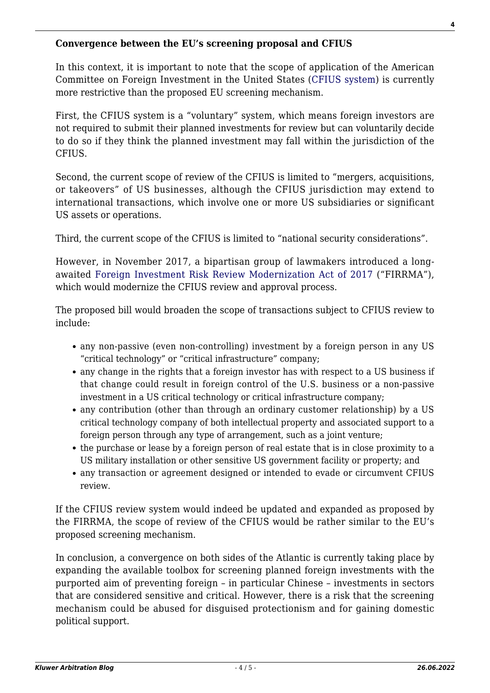**Convergence between the EU's screening proposal and CFIUS**

In this context, it is important to note that the scope of application of the American Committee on Foreign Investment in the United States ([CFIUS system](https://www.treasury.gov/resource-center/international/Pages/Committee-on-Foreign-Investment-in-US.aspx)) is currently more restrictive than the proposed EU screening mechanism.

First, the CFIUS system is a "voluntary" system, which means foreign investors are not required to submit their planned investments for review but can voluntarily decide to do so if they think the planned investment may fall within the jurisdiction of the CFIUS.

Second, the current scope of review of the CFIUS is limited to "mergers, acquisitions, or takeovers" of US businesses, although the CFIUS jurisdiction may extend to international transactions, which involve one or more US subsidiaries or significant US assets or operations.

Third, the current scope of the CFIUS is limited to "national security considerations".

However, in November 2017, a bipartisan group of lawmakers introduced a longawaited [Foreign Investment Risk Review Modernization Act of 2017](https://www.congress.gov/115/bills/hr4311/BILLS-115hr4311ih.pdf) ("FIRRMA"), which would modernize the CFIUS review and approval process.

The proposed bill would broaden the scope of transactions subject to CFIUS review to include:

- any non-passive (even non-controlling) investment by a foreign person in any US "critical technology" or "critical infrastructure" company;
- any change in the rights that a foreign investor has with respect to a US business if that change could result in foreign control of the U.S. business or a non-passive investment in a US critical technology or critical infrastructure company;
- any contribution (other than through an ordinary customer relationship) by a US critical technology company of both intellectual property and associated support to a foreign person through any type of arrangement, such as a joint venture;
- the purchase or lease by a foreign person of real estate that is in close proximity to a US military installation or other sensitive US government facility or property; and
- any transaction or agreement designed or intended to evade or circumvent CFIUS review.

If the CFIUS review system would indeed be updated and expanded as proposed by the FIRRMA, the scope of review of the CFIUS would be rather similar to the EU's proposed screening mechanism.

In conclusion, a convergence on both sides of the Atlantic is currently taking place by expanding the available toolbox for screening planned foreign investments with the purported aim of preventing foreign – in particular Chinese – investments in sectors that are considered sensitive and critical. However, there is a risk that the screening mechanism could be abused for disguised protectionism and for gaining domestic political support.